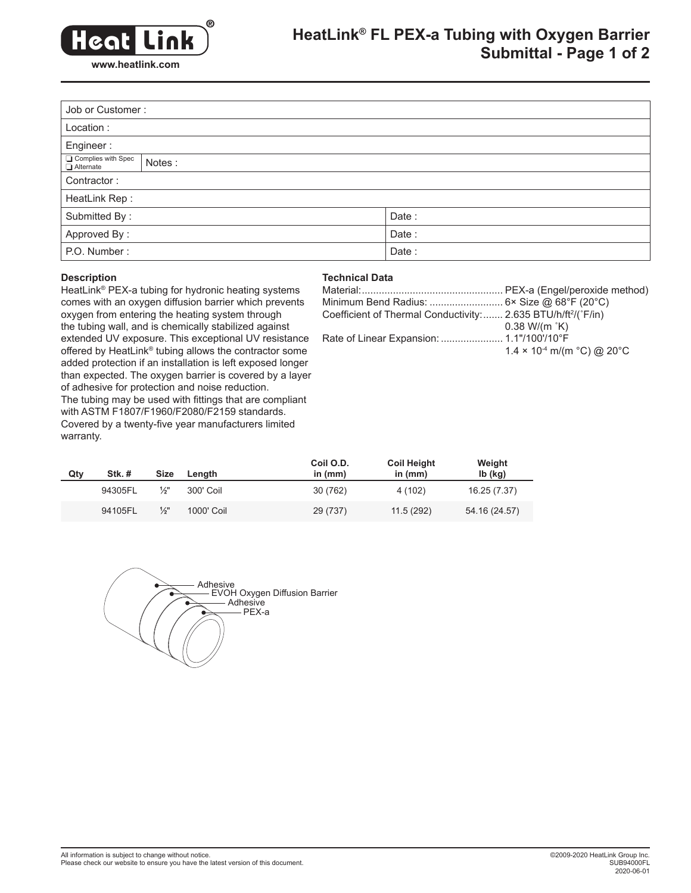

## **HeatLink® FL PEX-a Tubing with Oxygen Barrier Submittal - Page 1 of 2**

| Job or Customer:                |        |       |  |  |  |
|---------------------------------|--------|-------|--|--|--|
| Location:                       |        |       |  |  |  |
| Engineer:                       |        |       |  |  |  |
| Complies with Spec<br>Alternate | Notes: |       |  |  |  |
| Contractor:                     |        |       |  |  |  |
| HeatLink Rep:                   |        |       |  |  |  |
| Submitted By:                   |        | Date: |  |  |  |
| Approved By:                    |        | Date: |  |  |  |
| P.O. Number:                    |        | Date: |  |  |  |

#### **Description**

### **Technical Data**

HeatLink® PEX-a tubing for hydronic heating systems comes with an oxygen diffusion barrier which prevents oxygen from entering the heating system through the tubing wall, and is chemically stabilized against extended UV exposure. This exceptional UV resistance offered by HeatLink® tubing allows the contractor some added protection if an installation is left exposed longer than expected. The oxygen barrier is covered by a layer of adhesive for protection and noise reduction. The tubing may be used with fittings that are compliant with ASTM F1807/F1960/F2080/F2159 standards. Covered by a twenty-five year manufacturers limited warranty.

| Coefficient of Thermal Conductivity: 2.635 BTU/h/ft <sup>2</sup> /(°F/in) |                                                           |
|---------------------------------------------------------------------------|-----------------------------------------------------------|
|                                                                           | $0.38$ W/(m $\degree$ K)                                  |
|                                                                           |                                                           |
|                                                                           | $1.4 \times 10^{-4}$ m/(m $^{\circ}$ C) @ 20 $^{\circ}$ C |

| Qty | Stk.#   | <b>Size</b>   | Lenath     | Coil O.D.<br>in $(mm)$ | <b>Coil Height</b><br>in $(mm)$ | Weight<br>$Ib$ (kg) |
|-----|---------|---------------|------------|------------------------|---------------------------------|---------------------|
|     | 94305FL | $\frac{1}{2}$ | 300' Coil  | 30 (762)               | 4 (102)                         | 16.25 (7.37)        |
|     | 94105FL | $\frac{1}{2}$ | 1000' Coil | 29 (737)               | 11.5(292)                       | 54.16 (24.57)       |

Adhesive EVOH Oxygen Diffusion Barrier Adhesive PEX-a